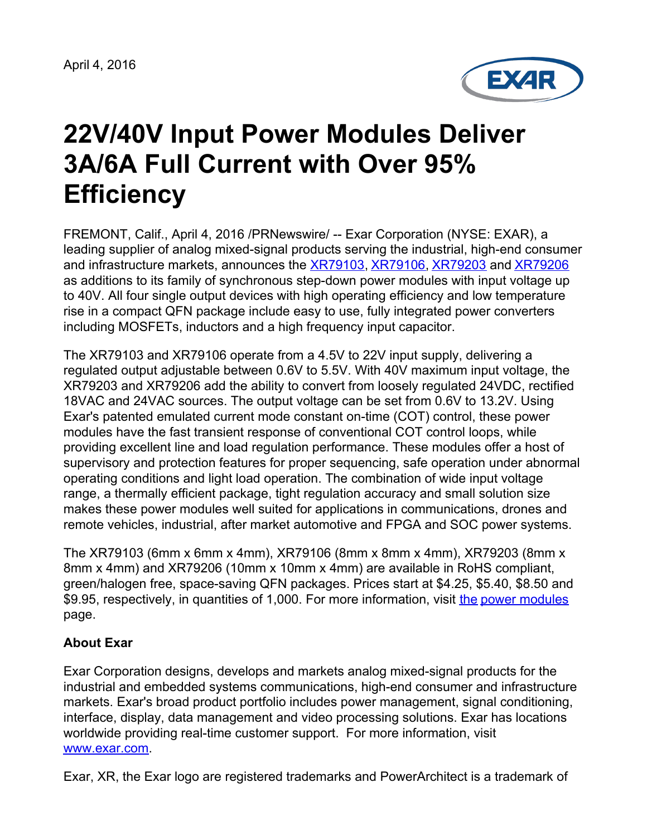April 4, 2016



## **22V/40V Input Power Modules Deliver 3A/6A Full Current with Over 95% Efficiency**

FREMONT, Calif., April 4, 2016 /PRNewswire/ -- Exar Corporation (NYSE: EXAR), a leading supplier of analog mixed-signal products serving the industrial, high-end consumer and infrastructure markets, announces the [XR79103](http://www.exar.com/power-management/power-conversion/power-modules/xr79103/?utm_source=PR&utm_medium=media&utm_campaign=powermodules&utm_content=xr79103), [XR79106](http://www.exar.com/power-management/power-conversion/power-modules/xr79106/?utm_source=PR&utm_medium=media&utm_campaign=powermodules&utm_content=xr79106), [XR79203](http://www.exar.com/power-management/power-conversion/power-modules/xr79203/?utm_source=PR&utm_medium=media&utm_campaign=powermodules&utm_content=xr79203) and [XR79206](http://www.exar.com/power-management/power-conversion/power-modules/xr79206/?utm_source=PR&utm_medium=media&utm_campaign=powermodules&utm_content=xr79206) as additions to its family of synchronous step-down power modules with input voltage up to 40V. All four single output devices with high operating efficiency and low temperature rise in a compact QFN package include easy to use, fully integrated power converters including MOSFETs, inductors and a high frequency input capacitor.

The XR79103 and XR79106 operate from a 4.5V to 22V input supply, delivering a regulated output adjustable between 0.6V to 5.5V. With 40V maximum input voltage, the XR79203 and XR79206 add the ability to convert from loosely regulated 24VDC, rectified 18VAC and 24VAC sources. The output voltage can be set from 0.6V to 13.2V. Using Exar's patented emulated current mode constant on-time (COT) control, these power modules have the fast transient response of conventional COT control loops, while providing excellent line and load regulation performance. These modules offer a host of supervisory and protection features for proper sequencing, safe operation under abnormal operating conditions and light load operation. The combination of wide input voltage range, a thermally efficient package, tight regulation accuracy and small solution size makes these power modules well suited for applications in communications, drones and remote vehicles, industrial, after market automotive and FPGA and SOC power systems.

The XR79103 (6mm x 6mm x 4mm), XR79106 (8mm x 8mm x 4mm), XR79203 (8mm x 8mm x 4mm) and XR79206 (10mm x 10mm x 4mm) are available in RoHS compliant, green/halogen free, space-saving QFN packages. Prices start at \$4.25, \$5.40, \$8.50 and \$9.95, respectively, in quantities of 1,000. For more information, visit [the](http://www.exar.com/power-management/power-modules/) power [modules](http://www.exar.com/products/power-management/power-conversion/power-modules/?utm_source=PR&utm_medium=media&utm_campaign=powermodules&utm_content=powermodules) page.

## **About Exar**

Exar Corporation designs, develops and markets analog mixed-signal products for the industrial and embedded systems communications, high-end consumer and infrastructure markets. Exar's broad product portfolio includes power management, signal conditioning, interface, display, data management and video processing solutions. Exar has locations worldwide providing real-time customer support. For more information, visit [www.exar.com](http://www.exar.com/).

Exar, XR, the Exar logo are registered trademarks and PowerArchitect is a trademark of